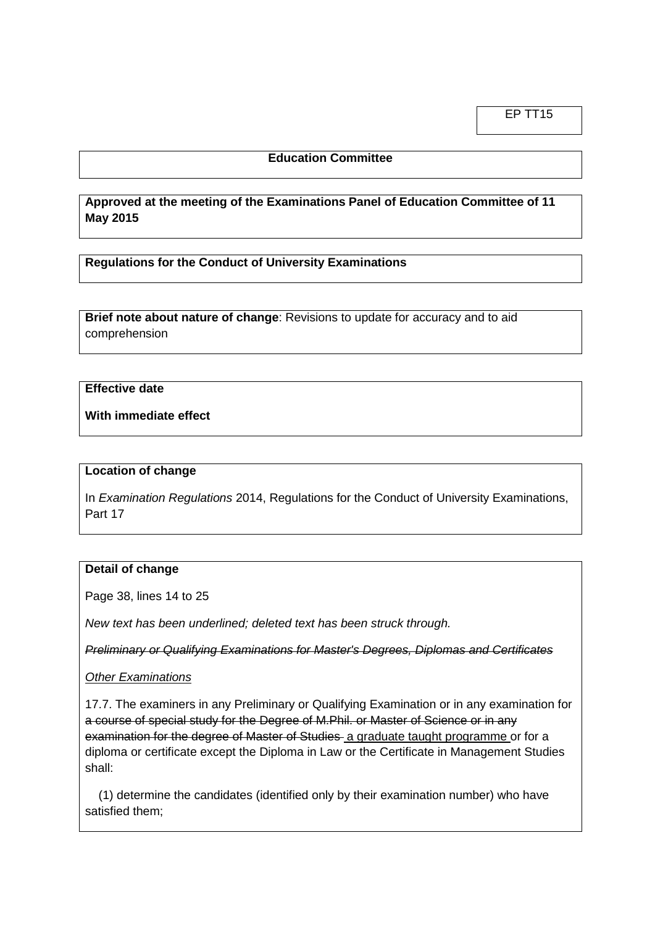EP TT15

# **Education Committee**

**Approved at the meeting of the Examinations Panel of Education Committee of 11 May 2015**

**Regulations for the Conduct of University Examinations**

**Brief note about nature of change**: Revisions to update for accuracy and to aid comprehension

## **Effective date**

**With immediate effect**

#### **Location of change**

In *Examination Regulations* 2014, Regulations for the Conduct of University Examinations, Part 17

## **Detail of change**

Page 38, lines 14 to 25

*New text has been underlined; deleted text has been struck through.*

*Preliminary or Qualifying Examinations for Master's Degrees, Diplomas and Certificates*

*Other Examinations*

17.7. The examiners in any Preliminary or Qualifying Examination or in any examination for a course of special study for the Degree of M.Phil. or Master of Science or in any examination for the degree of Master of Studies a graduate taught programme or for a diploma or certificate except the Diploma in Law or the Certificate in Management Studies shall:

 (1) determine the candidates (identified only by their examination number) who have satisfied them;